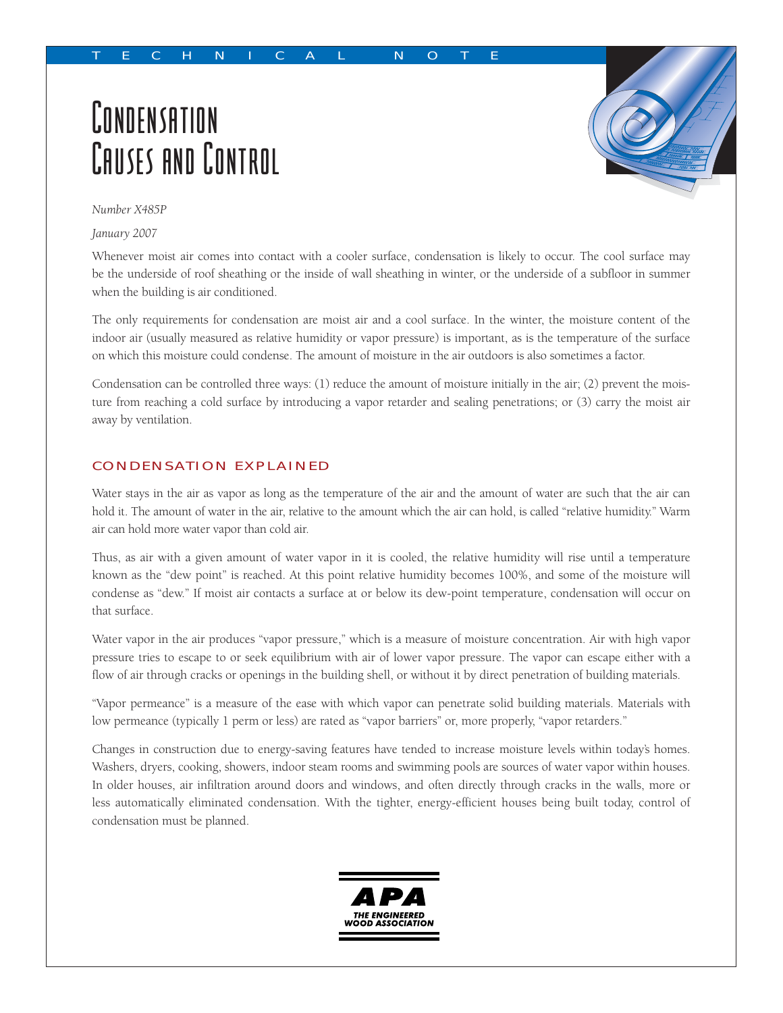## TECHNICAL NOTE

# **CONDENSATION** CAUSES AND CONTROL



*Number X485P*

*January 2007*

Whenever moist air comes into contact with a cooler surface, condensation is likely to occur. The cool surface may be the underside of roof sheathing or the inside of wall sheathing in winter, or the underside of a subfloor in summer when the building is air conditioned.

The only requirements for condensation are moist air and a cool surface. In the winter, the moisture content of the indoor air (usually measured as relative humidity or vapor pressure) is important, as is the temperature of the surface on which this moisture could condense. The amount of moisture in the air outdoors is also sometimes a factor.

Condensation can be controlled three ways: (1) reduce the amount of moisture initially in the air; (2) prevent the moisture from reaching a cold surface by introducing a vapor retarder and sealing penetrations; or (3) carry the moist air away by ventilation.

## CONDENSATION EXPLAINED

Water stays in the air as vapor as long as the temperature of the air and the amount of water are such that the air can hold it. The amount of water in the air, relative to the amount which the air can hold, is called "relative humidity." Warm air can hold more water vapor than cold air.

Thus, as air with a given amount of water vapor in it is cooled, the relative humidity will rise until a temperature known as the "dew point" is reached. At this point relative humidity becomes 100%, and some of the moisture will condense as "dew." If moist air contacts a surface at or below its dew-point temperature, condensation will occur on that surface.

Water vapor in the air produces "vapor pressure," which is a measure of moisture concentration. Air with high vapor pressure tries to escape to or seek equilibrium with air of lower vapor pressure. The vapor can escape either with a flow of air through cracks or openings in the building shell, or without it by direct penetration of building materials.

"Vapor permeance" is a measure of the ease with which vapor can penetrate solid building materials. Materials with low permeance (typically 1 perm or less) are rated as "vapor barriers" or, more properly, "vapor retarders."

Changes in construction due to energy-saving features have tended to increase moisture levels within today's homes. Washers, dryers, cooking, showers, indoor steam rooms and swimming pools are sources of water vapor within houses. In older houses, air infiltration around doors and windows, and often directly through cracks in the walls, more or less automatically eliminated condensation. With the tighter, energy-efficient houses being built today, control of condensation must be planned.

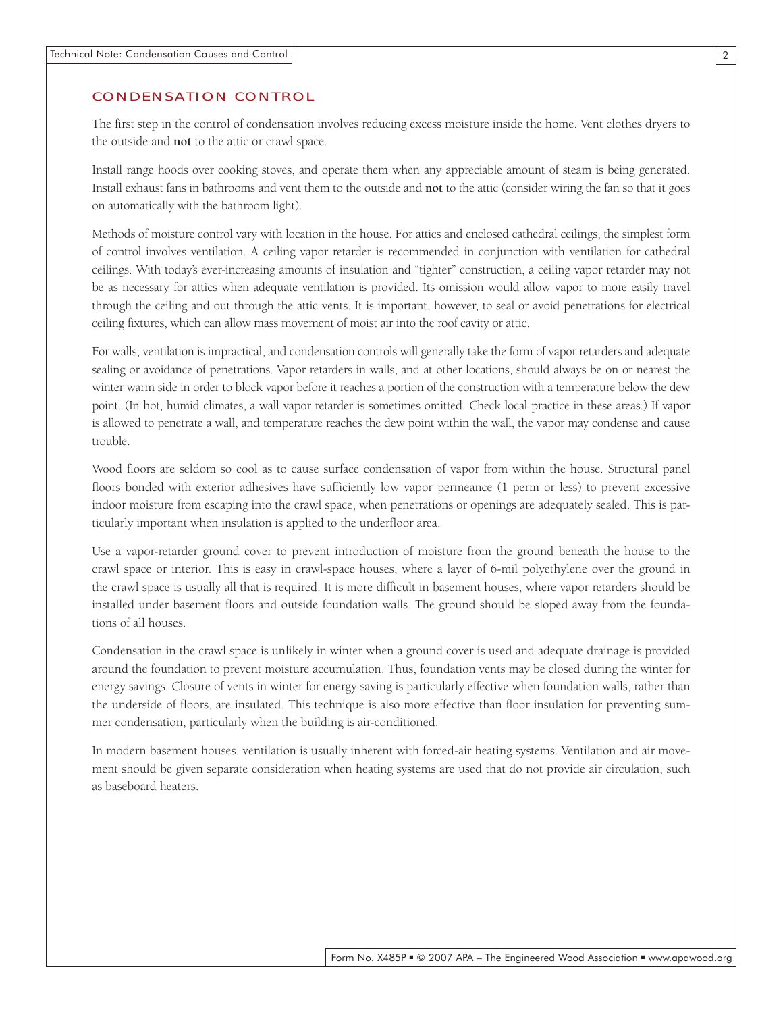#### CONDENSATION CONTROL

The first step in the control of condensation involves reducing excess moisture inside the home. Vent clothes dryers to the outside and **not** to the attic or crawl space.

Install range hoods over cooking stoves, and operate them when any appreciable amount of steam is being generated. Install exhaust fans in bathrooms and vent them to the outside and **not** to the attic (consider wiring the fan so that it goes on automatically with the bathroom light).

Methods of moisture control vary with location in the house. For attics and enclosed cathedral ceilings, the simplest form of control involves ventilation. A ceiling vapor retarder is recommended in conjunction with ventilation for cathedral ceilings. With today's ever-increasing amounts of insulation and "tighter" construction, a ceiling vapor retarder may not be as necessary for attics when adequate ventilation is provided. Its omission would allow vapor to more easily travel through the ceiling and out through the attic vents. It is important, however, to seal or avoid penetrations for electrical ceiling fixtures, which can allow mass movement of moist air into the roof cavity or attic.

For walls, ventilation is impractical, and condensation controls will generally take the form of vapor retarders and adequate sealing or avoidance of penetrations. Vapor retarders in walls, and at other locations, should always be on or nearest the winter warm side in order to block vapor before it reaches a portion of the construction with a temperature below the dew point. (In hot, humid climates, a wall vapor retarder is sometimes omitted. Check local practice in these areas.) If vapor is allowed to penetrate a wall, and temperature reaches the dew point within the wall, the vapor may condense and cause trouble.

Wood floors are seldom so cool as to cause surface condensation of vapor from within the house. Structural panel floors bonded with exterior adhesives have sufficiently low vapor permeance (1 perm or less) to prevent excessive indoor moisture from escaping into the crawl space, when penetrations or openings are adequately sealed. This is particularly important when insulation is applied to the underfloor area.

Use a vapor-retarder ground cover to prevent introduction of moisture from the ground beneath the house to the crawl space or interior. This is easy in crawl-space houses, where a layer of 6-mil polyethylene over the ground in the crawl space is usually all that is required. It is more difficult in basement houses, where vapor retarders should be installed under basement floors and outside foundation walls. The ground should be sloped away from the foundations of all houses.

Condensation in the crawl space is unlikely in winter when a ground cover is used and adequate drainage is provided around the foundation to prevent moisture accumulation. Thus, foundation vents may be closed during the winter for energy savings. Closure of vents in winter for energy saving is particularly effective when foundation walls, rather than the underside of floors, are insulated. This technique is also more effective than floor insulation for preventing summer condensation, particularly when the building is air-conditioned.

In modern basement houses, ventilation is usually inherent with forced-air heating systems. Ventilation and air movement should be given separate consideration when heating systems are used that do not provide air circulation, such as baseboard heaters.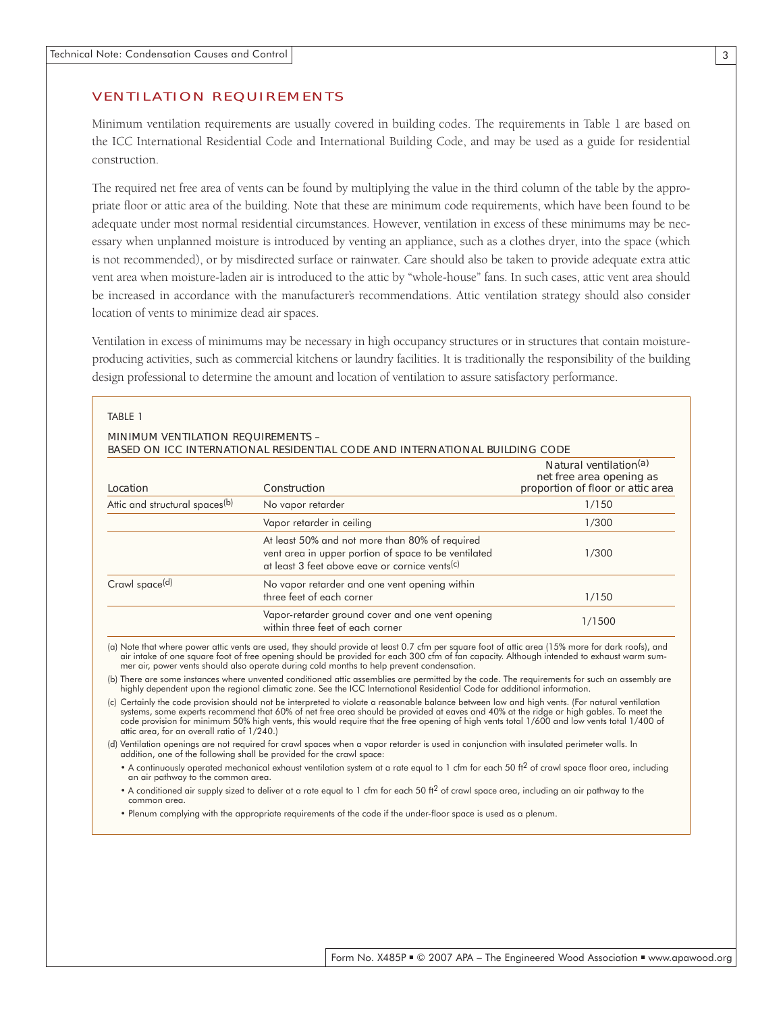#### VENTILATION REQUIREMENTS

Minimum ventilation requirements are usually covered in building codes. The requirements in Table 1 are based on the ICC International Residential Code and International Building Code, and may be used as a guide for residential construction.

The required net free area of vents can be found by multiplying the value in the third column of the table by the appropriate floor or attic area of the building. Note that these are minimum code requirements, which have been found to be adequate under most normal residential circumstances. However, ventilation in excess of these minimums may be necessary when unplanned moisture is introduced by venting an appliance, such as a clothes dryer, into the space (which is not recommended), or by misdirected surface or rainwater. Care should also be taken to provide adequate extra attic vent area when moisture-laden air is introduced to the attic by "whole-house" fans. In such cases, attic vent area should be increased in accordance with the manufacturer's recommendations. Attic ventilation strategy should also consider location of vents to minimize dead air spaces.

Ventilation in excess of minimums may be necessary in high occupancy structures or in structures that contain moistureproducing activities, such as commercial kitchens or laundry facilities. It is traditionally the responsibility of the building design professional to determine the amount and location of ventilation to assure satisfactory performance.

| <b>MINIMUM VENTILATION REQUIREMENTS -</b><br>BASED ON ICC INTERNATIONAL RESIDENTIAL CODE AND INTERNATIONAL BUILDING CODE |                                                                                                                                                          |                                                                                                     |  |  |  |  |
|--------------------------------------------------------------------------------------------------------------------------|----------------------------------------------------------------------------------------------------------------------------------------------------------|-----------------------------------------------------------------------------------------------------|--|--|--|--|
| Location                                                                                                                 | Construction                                                                                                                                             | Natural ventilation <sup>(a)</sup><br>net free area opening as<br>proportion of floor or attic area |  |  |  |  |
| Attic and structural spaces <sup>(b)</sup>                                                                               | No vapor retarder                                                                                                                                        | 1/150                                                                                               |  |  |  |  |
|                                                                                                                          | Vapor retarder in ceiling                                                                                                                                | 1/300                                                                                               |  |  |  |  |
|                                                                                                                          | At least 50% and not more than 80% of required<br>vent area in upper portion of space to be ventilated<br>at least 3 feet above eave or cornice vents(c) | 1/300                                                                                               |  |  |  |  |
| Crawl space <sup>(d)</sup>                                                                                               | No vapor retarder and one vent opening within<br>three feet of each corner                                                                               | 1/150                                                                                               |  |  |  |  |
|                                                                                                                          | Vapor-retarder ground cover and one vent opening<br>within three feet of each corner                                                                     | 1/1500                                                                                              |  |  |  |  |

here power attic vents are used, they should provide at least 0.7 cfm per square foot of attic area (15% more for dark roofs), and air intake of one square foot of free opening should be provided for each 300 cfm of fan capacity. Although intended to exhaust warm summer air, power vents should also operate during cold months to help prevent condensation.

(b) There are some instances where unvented conditioned attic assemblies are permitted by the code. The requirements for such an assembly are highly dependent upon the regional climatic zone. See the ICC International Residential Code for additional information.

(c) Certainly the code provision should not be interpreted to violate a reasonable balance between low and high vents. (For natural ventilation systems, some experts recommend that 60% of net free area should be provided at eaves and 40% at the ridge or high gables. To meet the code provision for minimum 50% high vents, this would require that the free opening of high vents total 1/600 and low vents total 1/400 of attic area, for an overall ratio of 1/240.)

(d) Ventilation openings are not required for crawl spaces when a vapor retarder is used in conjunction with insulated perimeter walls. In addition, one of the following shall be provided for the crawl space:

• A continuously operated mechanical exhaust ventilation system at a rate equal to 1 cfm for each 50 ft<sup>2</sup> of crawl space floor area, including an air pathway to the common area.

• A conditioned air supply sized to deliver at a rate equal to 1 cfm for each 50 ft<sup>2</sup> of crawl space area, including an air pathway to the common area.

• Plenum complying with the appropriate requirements of the code if the under-floor space is used as a plenum.

Form No. X485P ■ © 2007 APA – The Engineered Wood Association ■ www.apawood.org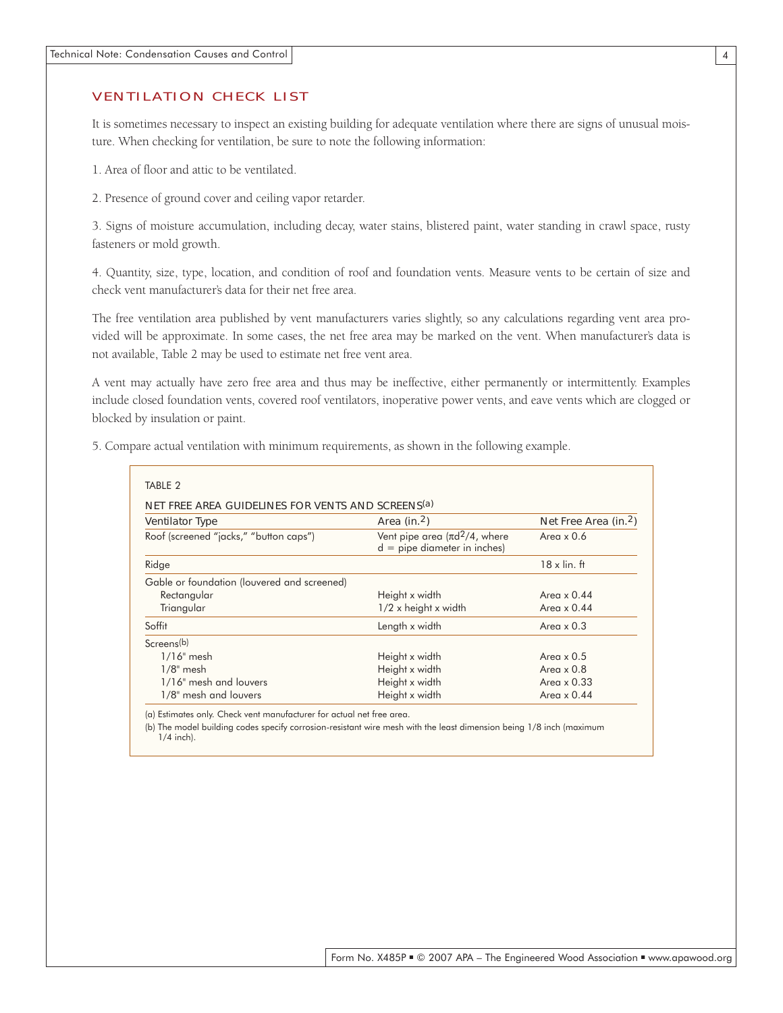#### VENTILATION CHECK LIST

It is sometimes necessary to inspect an existing building for adequate ventilation where there are signs of unusual moisture. When checking for ventilation, be sure to note the following information:

1. Area of floor and attic to be ventilated.

2. Presence of ground cover and ceiling vapor retarder.

3. Signs of moisture accumulation, including decay, water stains, blistered paint, water standing in crawl space, rusty fasteners or mold growth.

4. Quantity, size, type, location, and condition of roof and foundation vents. Measure vents to be certain of size and check vent manufacturer's data for their net free area.

The free ventilation area published by vent manufacturers varies slightly, so any calculations regarding vent area provided will be approximate. In some cases, the net free area may be marked on the vent. When manufacturer's data is not available, Table 2 may be used to estimate net free vent area.

A vent may actually have zero free area and thus may be ineffective, either permanently or intermittently. Examples include closed foundation vents, covered roof ventilators, inoperative power vents, and eave vents which are clogged or blocked by insulation or paint.

|  | 5. Compare actual ventilation with minimum requirements, as shown in the following example. |  |  |  |
|--|---------------------------------------------------------------------------------------------|--|--|--|
|  |                                                                                             |  |  |  |

| <b>Ventilator Type</b>                      | Area (in. $2$ )                                                        | Net Free Area (in. <sup>2</sup> ) |
|---------------------------------------------|------------------------------------------------------------------------|-----------------------------------|
| Roof (screened "jacks," "button caps")      | Vent pipe area $(\pi d^2/4)$ , where<br>$d =$ pipe diameter in inches) | Area $\times$ 0.6                 |
| Ridge                                       |                                                                        | $18 \times$ lin. ft               |
| Gable or foundation (louvered and screened) |                                                                        |                                   |
| Rectangular                                 | Height x width                                                         | Area $\times$ 0.44                |
| Triangular                                  | 1/2 x height x width                                                   | Area $\times$ 0.44                |
| Soffit                                      | Length x width                                                         | Area $\times$ 0.3                 |
| Screens(b)                                  |                                                                        |                                   |
| $1/16$ " mesh                               | Height x width                                                         | Area $\times$ 0.5                 |
| $1/8$ " mesh                                | Height x width                                                         | Area $\times$ 0.8                 |
| 1/16" mesh and louvers                      | Height x width                                                         | Area $\times$ 0.33                |
| 1/8" mesh and louvers                       | Height x width                                                         | Area $\times$ 0.44                |

(a) Estimates only. Check vent manufacturer for actual net free area.

(b) The model building codes specify corrosion-resistant wire mesh with the least dimension being 1/8 inch (maximum 1/4 inch).

4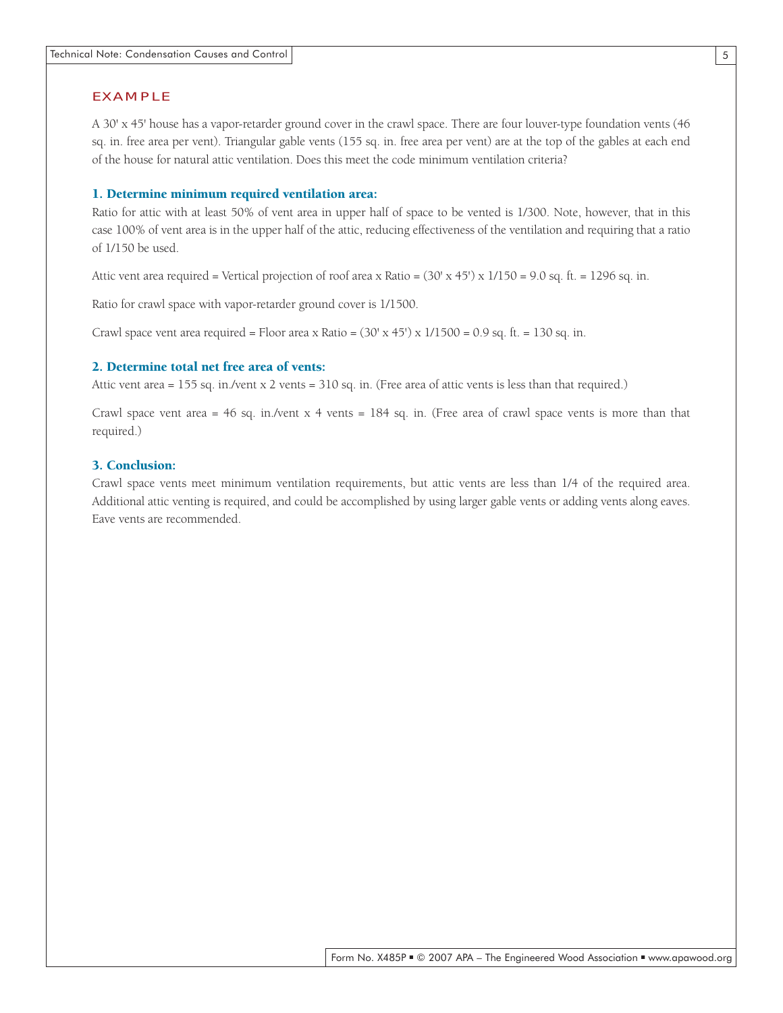#### EXAMPLE

A 30' x 45' house has a vapor-retarder ground cover in the crawl space. There are four louver-type foundation vents (46 sq. in. free area per vent). Triangular gable vents (155 sq. in. free area per vent) are at the top of the gables at each end of the house for natural attic ventilation. Does this meet the code minimum ventilation criteria?

#### 1. Determine minimum required ventilation area:

Ratio for attic with at least 50% of vent area in upper half of space to be vented is 1/300. Note, however, that in this case 100% of vent area is in the upper half of the attic, reducing effectiveness of the ventilation and requiring that a ratio of 1/150 be used.

Attic vent area required = Vertical projection of roof area x Ratio =  $(30' \times 45') \times 1/150 = 9.0$  sq. ft. = 1296 sq. in.

Ratio for crawl space with vapor-retarder ground cover is 1/1500.

Crawl space vent area required = Floor area x Ratio =  $(30' \times 45') \times 1/1500 = 0.9$  sq. ft. = 130 sq. in.

#### 2. Determine total net free area of vents:

Attic vent area = 155 sq. in./vent x 2 vents = 310 sq. in. (Free area of attic vents is less than that required.)

Crawl space vent area = 46 sq. in./vent x 4 vents = 184 sq. in. (Free area of crawl space vents is more than that required.)

### 3. Conclusion:

Crawl space vents meet minimum ventilation requirements, but attic vents are less than 1/4 of the required area. Additional attic venting is required, and could be accomplished by using larger gable vents or adding vents along eaves. Eave vents are recommended.